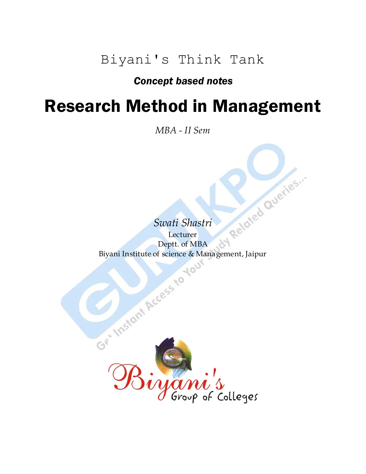Biyani's Think Tank

### *Concept based notes*

## Research Method in Management

*MBA - II Sem*

*Swati Shastri* Lecturer Swati Shastri<br>Lecturer<br>Biyani Institute of science & Management, Jaipur

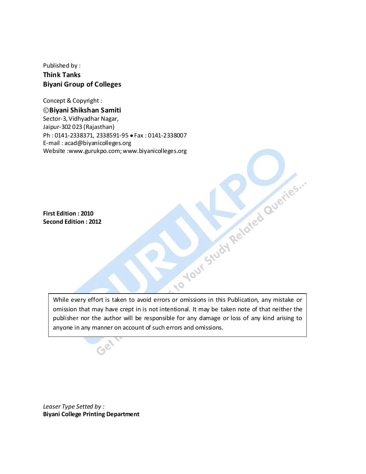Published by : **Think Tanks Biyani Group of Colleges**

Concept & Copyright :

**Biyani Shikshan Samiti** Sector-3, Vidhyadhar Nagar, Jaipur-302 023 (Rajasthan) Ph: 0141-2338371, 2338591-95 • Fax: 0141-2338007 E-mail : acad@biyanicolleges.org Website :www.gurukpo.com; www.biyanicolleges.org

**First Edition : 2010 Second Edition : 2012**

Nour Study Related Queries. While every effort is taken to avoid errors or omissions in this Publication, any mistake or omission that may have crept in is not intentional. It may be taken note of that neither the publisher nor the author will be responsible for any damage or loss of any kind arising to anyone in any manner on account of such errors and omissions.

io

*Leaser Type Setted by :* **Biyani College Printing Department**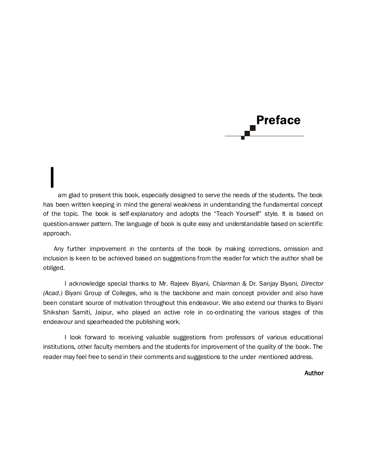

am glad to present this book, especially designed to serve the needs of the students. The book has been written keeping in mind the general weakness in understanding the fundamental concept of the topic. The book is self-explanatory and adopts the "Teach Yourself" style. It is based on question-answer pattern. The language of book is quite easy and understandable based on scientific approach. I

Any further improvement in the contents of the book by making corrections, omission and inclusion is keen to be achieved based on suggestions from the reader for which the author shall be obliged.

I acknowledge special thanks to Mr. Rajeev Biyani, *Chiarman* & Dr. Sanjay Biyani, *Director (Acad.)* Biyani Group of Colleges, who is the backbone and main concept provider and also have been constant source of motivation throughout this endeavour. We also extend our thanks to Biyani Shikshan Samiti, Jaipur, who played an active role in co-ordinating the various stages of this endeavour and spearheaded the publishing work.

I look forward to receiving valuable suggestions from professors of various educational institutions, other faculty members and the students for improvement of the quality of the book. The reader may feel free to send in their comments and suggestions to the under mentioned address.

Author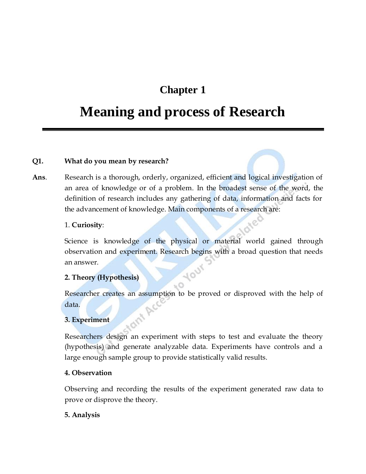## **Chapter 1**

## **Meaning and process of Research**

#### **Q1. What do you mean by research?**

**Ans**. Research is a thorough, orderly, organized, efficient and logical investigation of an area of knowledge or of a problem. In the broadest sense of the word, the definition of research includes any gathering of data, information and facts for the advancement of knowledge. Main components of a research are:

#### 1. **Curiosity**:

Science is knowledge of the physical or material world gained through observation and experiment. Research begins with a broad question that needs an answer. **10UY** 

#### **2. Theory (Hypothesis)**

Researcher creates an assumption to be proved or disproved with the help of data.

 $O_{\mathcal{F}}$ 

#### **3. Experiment**

Researchers design an experiment with steps to test and evaluate the theory (hypothesis) and generate analyzable data. Experiments have controls and a large enough sample group to provide statistically valid results.

#### **4. Observation**

Observing and recording the results of the experiment generated raw data to prove or disprove the theory.

#### **5. Analysis**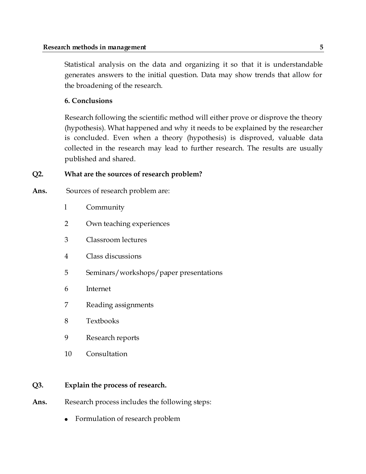Statistical analysis on the data and organizing it so that it is understandable generates answers to the initial question. Data may show trends that allow for the broadening of the research.

#### **6. Conclusions**

Research following the scientific method will either prove or disprove the theory (hypothesis). What happened and why it needs to be explained by the researcher is concluded. Even when a theory (hypothesis) is disproved, valuable data collected in the research may lead to further research. The results are usually published and shared.

#### **Q2. What are the sources of research problem?**

- Ans. Sources of research problem are:
	- l Community
	- 2 Own teaching experiences
	- 3 Classroom lectures
	- 4 Class discussions
	- 5 Seminars/workshops/paper presentations
	- 6 Internet
	- 7 Reading assignments
	- 8 Textbooks
	- 9 Research reports
	- 10 Consultation

#### **Q3. Explain the process of research.**

- Ans. Research process includes the following steps:
	- Formulation of research problem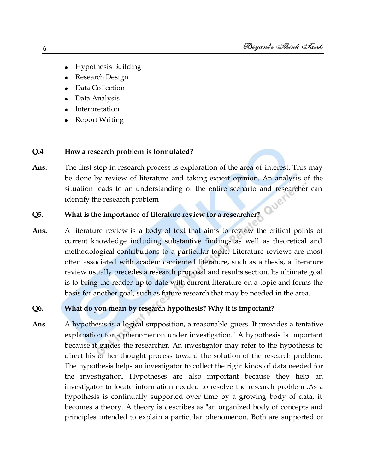- Hypothesis Building  $\bullet$
- Research Design
- Data Collection
- Data Analysis
- Interpretation
- Report Writing

#### **Q.4 How a research problem is formulated?**

**Ans.** The first step in research process is exploration of the area of interest. This may be done by review of literature and taking expert opinion. An analysis of the situation leads to an understanding of the entire scenario and researcher can identify the research problem Que

#### **Q5. What is the importance of literature review for a researcher?**

**Ans.** A literature review is a body of text that aims to review the critical points of current knowledge including substantive findings as well as theoretical and methodological contributions to a particular topic. Literature reviews are most often associated with academic-oriented literature, such as a thesis, a literature review usually precedes a research proposal and results section. Its ultimate goal is to bring the reader up to date with current literature on a topic and forms the basis for another goal, such as future research that may be needed in the area.

#### **Q6. What do you mean by research hypothesis? Why it is important?**

**Ans**. A hypothesis is a logical supposition, a reasonable guess. It provides a tentative explanation for a phenomenon under investigation." A hypothesis is important because it guides the researcher. An investigator may refer to the hypothesis to direct his or her thought process toward the solution of the research problem. The hypothesis helps an investigator to collect the right kinds of data needed for the investigation. Hypotheses are also important because they help an investigator to locate information needed to resolve the research problem .As a hypothesis is continually supported over time by a growing body of data, it becomes a theory. A theory is describes as "an organized body of concepts and principles intended to explain a particular phenomenon. Both are supported or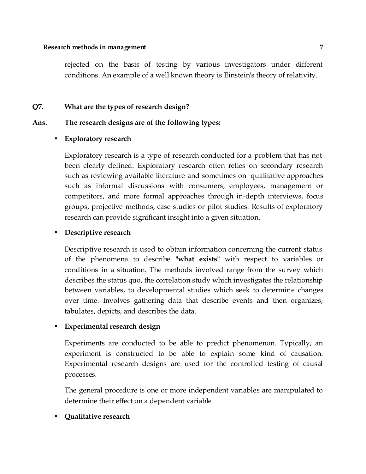rejected on the basis of testing by various investigators under different conditions. An example of a well known theory is Einstein's theory of relativity.

#### **Q7. What are the types of research design?**

#### **Ans. The research designs are of the following types:**

#### • **Exploratory research**

Exploratory research is a type of research conducted for a problem that has not been clearly defined. Exploratory research often relies on secondary research such as reviewing available literature and sometimes on qualitative approaches such as informal discussions with consumers, employees, management or competitors, and more formal approaches through in-depth interviews, focus groups, projective methods, case studies or pilot studies. Results of exploratory research can provide significant insight into a given situation.

#### • **Descriptive research**

Descriptive research is used to obtain information concerning the current status of the phenomena to describe **"what exists"** with respect to variables or conditions in a situation. The methods involved range from the survey which describes the status quo, the correlation study which investigates the relationship between variables, to developmental studies which seek to determine changes over time. Involves gathering data that describe events and then organizes, tabulates, depicts, and describes the data.

#### • **Experimental research design**

Experiments are conducted to be able to predict phenomenon. Typically, an experiment is constructed to be able to explain some kind of causation. Experimental research designs are used for the controlled testing of causal processes.

The general procedure is one or more independent variables are manipulated to determine their effect on a dependent variable

#### • **Qualitative research**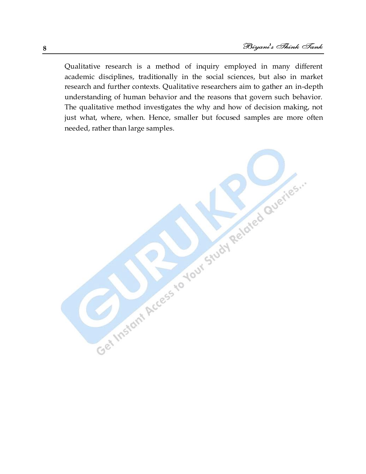Qualitative research is a method of inquiry employed in many different academic disciplines, traditionally in the social sciences, but also in market research and further contexts. Qualitative researchers aim to gather an in-depth understanding of human behavior and the reasons that govern such behavior. The qualitative method investigates the why and how of decision making, not just what, where, when. Hence, smaller but focused samples are more often needed, rather than large samples.

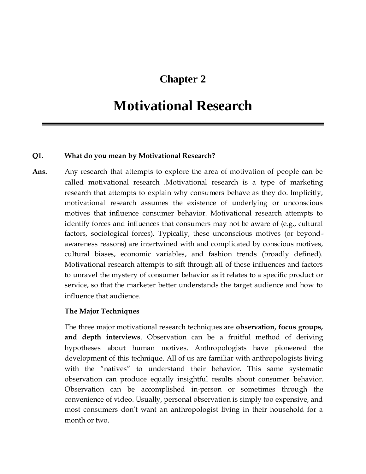## **Chapter 2**

## **Motivational Research**

#### **Q1. What do you mean by Motivational Research?**

**Ans.** Any research that attempts to explore the area of motivation of people can be called motivational research .Motivational research is a type of marketing research that attempts to explain why consumers behave as they do. Implicitly, motivational research assumes the existence of underlying or unconscious motives that influence consumer behavior. Motivational research attempts to identify forces and influences that consumers may not be aware of (e.g., cultural factors, sociological forces). Typically, these unconscious motives (or beyondawareness reasons) are intertwined with and complicated by conscious motives, cultural biases, economic variables, and fashion trends (broadly defined). Motivational research attempts to sift through all of these influences and factors to unravel the mystery of consumer behavior as it relates to a specific product or service, so that the marketer better understands the target audience and how to influence that audience.

#### **The Major Techniques**

The three major motivational research techniques are **observation, focus groups, and depth interviews**. Observation can be a fruitful method of deriving hypotheses about human motives. Anthropologists have pioneered the development of this technique. All of us are familiar with anthropologists living with the "natives" to understand their behavior. This same systematic observation can produce equally insightful results about consumer behavior. Observation can be accomplished in-person or sometimes through the convenience of video. Usually, personal observation is simply too expensive, and most consumers don't want an anthropologist living in their household for a month or two.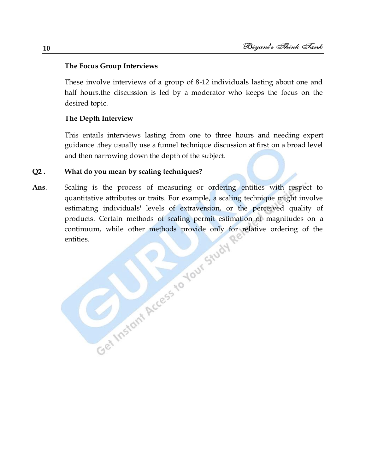#### **The Focus Group Interviews**

These involve interviews of a group of 8-12 individuals lasting about one and half hours.the discussion is led by a moderator who keeps the focus on the desired topic.

#### **The Depth Interview**

This entails interviews lasting from one to three hours and needing expert guidance .they usually use a funnel technique discussion at first on a broad level and then narrowing down the depth of the subject.

#### **Q2 . What do you mean by scaling techniques?**

**Ans**. Scaling is the process of measuring or ordering entities with respect to quantitative attributes or traits. For example, a scaling technique might involve estimating individuals' levels of extraversion, or the perceived quality of products. Certain methods of scaling permit estimation of magnitudes on a continuum, while other methods provide only for relative ordering of the entities.<br>
entities. continuum, while other methods provide only for relative ordering of the entities.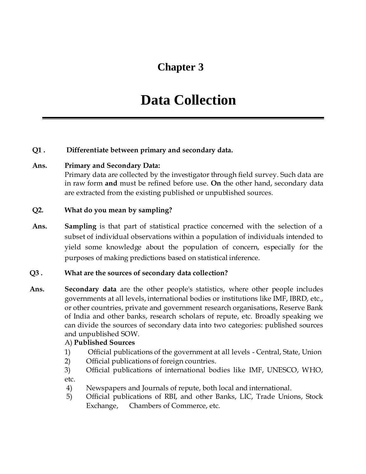## **Chapter 3**

## **Data Collection**

#### **Q1 . Differentiate between primary and secondary data.**

#### **Ans. Primary and Secondary Data:**

Primary data are collected by the investigator through field survey. Such data are in raw form **and** must be refined before use. **On** the other hand, secondary data are extracted from the existing published or unpublished sources.

#### **Q2. What do you mean by sampling?**

**Ans. Sampling** is that part of statistical practice concerned with the selection of a subset of individual observations within a population of individuals intended to yield some knowledge about the population of concern, especially for the purposes of making predictions based on statistical inference.

#### **Q3 . What are the sources of secondary data collection?**

**Ans. Secondary data** are the other people's statistics, where other people includes governments at all levels, international bodies or institutions like IMF, IBRD, etc., or other countries, private and government research organisations, Reserve Bank of India and other banks, research scholars of repute, etc. Broadly speaking we can divide the sources of secondary data into two categories: published sources and unpublished SOW.

#### A) **Published Sources**

- 1) Official publications of the government at all levels Central, State, Union
- 2) Official publications of foreign countries.
- 3) Official publications of international bodies like IMF, UNESCO, WHO, etc.
- 4) Newspapers and Journals of repute, both local and international.
- 5) Official publications of RBI, and other Banks, LIC, Trade Unions, Stock Exchange, Chambers of Commerce, etc.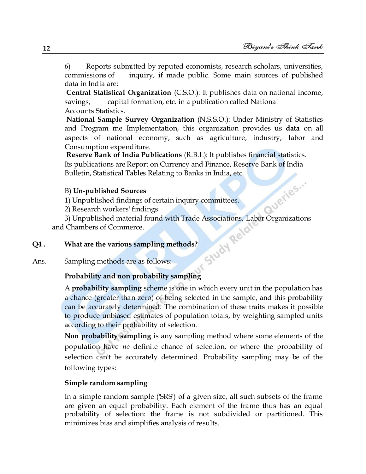6) Reports submitted by reputed economists, research scholars, universities, commissions of inquiry, if made public. Some main sources of published data in India are:

**Central Statistical Organization** (C.S.O.): It publishes data on national income, savings, capital formation, etc. in a publication called National Accounts Statistics.

**National Sample Survey Organization** (N.S.S.O.): Under Ministry of Statistics and Program me Implementation, this organization provides us **data** on all aspects of national economy, such as agriculture, industry, labor and Consumption expenditure.

**Reserve Bank of India Publications** (R.B.L): It publishes financial statistics. Its publications are Report on Currency and Finance, Reserve Bank of India Bulletin, Statistical Tables Relating to Banks in India, etc.

#### B) **Un-published Sources**

1) Unpublished findings of certain inquiry committees.

2) Research workers' findings.

<sup>3</sup><br>3) Unpublished findings of certain inquiry committees.<br>3) Unpublished material found with Trade Associations, Labor Organizations<br>Chambers of Commerce.<br>What are the various sampling methods?<br>Sampling methods are as  $f^{$ and Chambers of Commerce.

#### **Q4 . What are the various sampling methods?**

Ans. Sampling methods are as follows:

#### **Probability and non probability sampling**

A **probability sampling** scheme is one in which every unit in the population has a chance (greater than zero) of being selected in the sample, and this probability can be accurately determined. The combination of these traits makes it possible to produce unbiased estimates of population totals, by weighting sampled units according to their probability of selection.

**Non probability sampling** is any sampling method where some elements of the population have *no* definite chance of selection, or where the probability of selection can't be accurately determined. Probability sampling may be of the following types:

#### **Simple random sampling**

In a simple random sample ('SRS') of a given size, all such subsets of the frame are given an equal probability. Each element of the frame thus has an equal probability of selection: the frame is not subdivided or partitioned. This minimizes bias and simplifies analysis of results.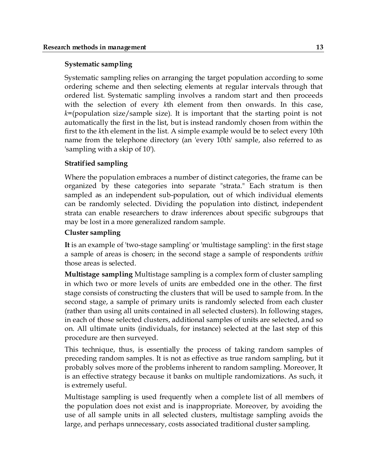#### **Systematic sampling**

Systematic sampling relies on arranging the target population according to some ordering scheme and then selecting elements at regular intervals through that ordered list. Systematic sampling involves a random start and then proceeds with the selection of every *k*th element from then onwards. In this case, *k*=(population size/sample size). It is important that the starting point is not automatically the first in the list, but is instead randomly chosen from within the first to the *k*th element in the list. A simple example would be to select every 10th name from the telephone directory (an 'every 10th' sample, also referred to as 'sampling with a skip of 10').

#### **Stratified sampling**

Where the population embraces a number of distinct categories, the frame can be organized by these categories into separate "strata." Each stratum is then sampled as an independent sub-population, out of which individual elements can be randomly selected. Dividing the population into distinct, independent strata can enable researchers to draw inferences about specific subgroups that may be lost in a more generalized random sample.

#### **Cluster sampling**

**It** is an example of 'two-stage sampling' or 'multistage sampling': in the first stage a sample of areas is chosen; in the second stage a sample of respondents *within* those areas is selected.

**Multistage sampling** Multistage sampling is a complex form of cluster sampling in which two or more levels of units are embedded one in the other. The first stage consists of constructing the clusters that will be used to sample from. In the second stage, a sample of primary units is randomly selected from each cluster (rather than using all units contained in all selected clusters). In following stages, in each of those selected clusters, additional samples of units are selected, and so on. All ultimate units (individuals, for instance) selected at the last step of this procedure are then surveyed.

This technique, thus, is essentially the process of taking random samples of preceding random samples. It is not as effective as true random sampling, but it probably solves more of the problems inherent to random sampling. Moreover, It is an effective strategy because it banks on multiple randomizations. As such, it is extremely useful.

Multistage sampling is used frequently when a complete list of all members of the population does not exist and is inappropriate. Moreover, by avoiding the use of all sample units in all selected clusters, multistage sampling avoids the large, and perhaps unnecessary, costs associated traditional cluster sampling.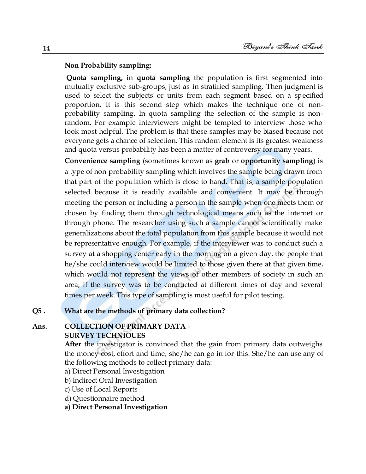#### **Non Probability sampling:**

**Quota sampling,** in **quota sampling** the population is first segmented into mutually exclusive sub-groups, just as in stratified sampling. Then judgment is used to select the subjects or units from each segment based on a specified proportion. It is this second step which makes the technique one of nonprobability sampling. In quota sampling the selection of the sample is nonrandom. For example interviewers might be tempted to interview those who look most helpful. The problem is that these samples may be biased because not everyone gets a chance of selection. This random element is its greatest weakness and quota versus probability has been a matter of controversy for many years.

**Convenience sampling** (sometimes known as **grab** or **opportunity sampling**) is a type of non probability sampling which involves the sample being drawn from that part of the population which is close to hand. That is, a sample population selected because it is readily available and convenient. It may be through meeting the person or including a person in the sample when one meets them or chosen by finding them through technological means such as the internet or through phone. The researcher using such a sample cannot scientifically make generalizations about the total population from this sample because it would not be representative enough. For example, if the interviewer was to conduct such a survey at a shopping center early in the morning on a given day, the people that he/she could interview would be limited to those given there at that given time, which would not represent the views of other members of society in such an area, if the survey was to be conducted at different times of day and several times per week. This type of sampling is most useful for pilot testing.

#### **Q5 . What are the methods of primary data collection?**

#### **Ans. COLLECTION OF PRIMARY DATA** -

#### **SURVEY TECHNIOUES**

**After** the investigator is convinced that the gain from primary data outweighs the money cost, effort and time, she/he can go in for this. She/he can use any of the following methods to collect primary data:

- a) Direct Personal Investigation
- b) Indirect Oral Investigation
- c) Use of Local Reports
- d) Questionnaire method

#### **a) Direct Personal Investigation**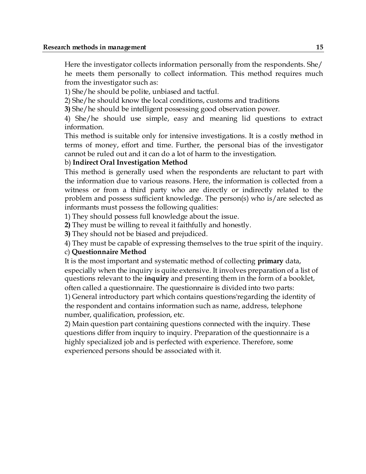Here the investigator collects information personally from the respondents. She/ he meets them personally to collect information. This method requires much from the investigator such as:

1) She/he should be polite, unbiased and tactful.

2) She/he should know the local conditions, customs and traditions

**3)** She/he should be intelligent possessing good observation power.

4) She/he should use simple, easy and meaning lid questions to extract information.

This method is suitable only for intensive investigations. It is a costly method in terms of money, effort and time. Further, the personal bias of the investigator cannot be ruled out and it can do a lot of harm to the investigation.

#### b) **Indirect Oral Investigation Method**

This method is generally used when the respondents are reluctant to part with the information due to various reasons. Here, the information is collected from a witness or from a third party who are directly or indirectly related to the problem and possess sufficient knowledge. The person(s) who is/are selected as informants must possess the following qualities:

1) They should possess full knowledge about the issue.

**2)** They must be willing to reveal it faithfully and honestly.

**3)** They should not be biased and prejudiced.

4) They must be capable of expressing themselves to the true spirit of the inquiry.

#### c) **Questionnaire Method**

It is the most important and systematic method of collecting **primary** data, especially when the inquiry is quite extensive. It involves preparation of a list of questions relevant to the **inquiry** and presenting them in the form of a booklet, often called a questionnaire. The questionnaire is divided into two parts:

1) General introductory part which contains questions'regarding the identity of the respondent and contains information such as name, address, telephone number, qualification, profession, etc.

2) Main question part containing questions connected with the inquiry. These questions differ from inquiry to inquiry. Preparation of the questionnaire is a highly specialized job and is perfected with experience. Therefore, some experienced persons should be associated with it.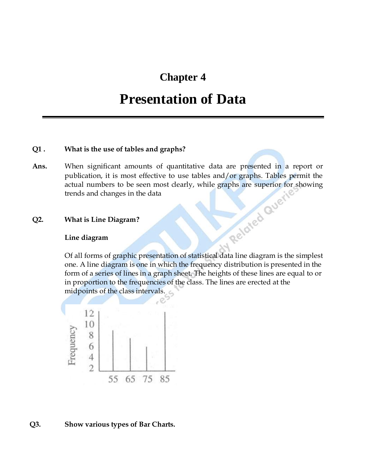## **Chapter 4**

## **Presentation of Data**

#### **Q1 . What is the use of tables and graphs?**

**Ans.** When significant amounts of quantitative data are presented in a report or publication, it is most effective to use tables and/or graphs. Tables permit the actual numbers to be seen most clearly, while graphs are superior for showing<br>trends and changes in the data<br>What is Line Diagram?<br>Line diagram trends and changes in the data

#### **Q2. What is Line Diagram?**

#### **Line diagram**

Of all forms of graphic presentation of statistical data line diagram is the simplest one. A line diagram is one in which the frequency distribution is presented in the form of a series of lines in a graph sheet. The heights of these lines are equal to or in proportion to the frequencies of the class. The lines are erected at the midpoints of the class intervals.



#### **Q3. Show various types of Bar Charts.**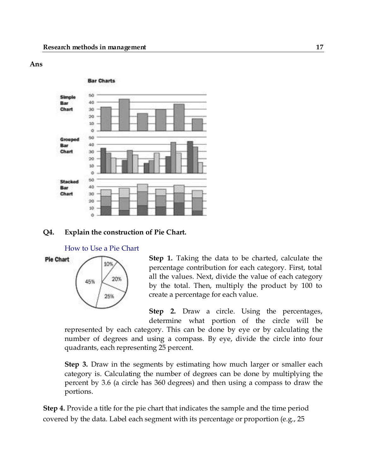#### **Ans**



#### **Q4. Explain the construction of Pie Chart.**

How to Use a Pie Chart



**Step 1.** Taking the data to be charted, calculate the percentage contribution for each category. First, total all the values. Next, divide the value of each category by the total. Then, multiply the product by 100 to create a percentage for each value.

**Step 2.** Draw a circle. Using the percentages, determine what portion of the circle will be

represented by each category. This can be done by eye or by calculating the number of degrees and using a compass. By eye, divide the circle into four quadrants, each representing 25 percent.

**Step 3.** Draw in the segments by estimating how much larger or smaller each category is. Calculating the number of degrees can be done by multiplying the percent by 3.6 (a circle has 360 degrees) and then using a compass to draw the portions.

**Step 4.** Provide a title for the pie chart that indicates the sample and the time period covered by the data. Label each segment with its percentage or proportion (e.g., 25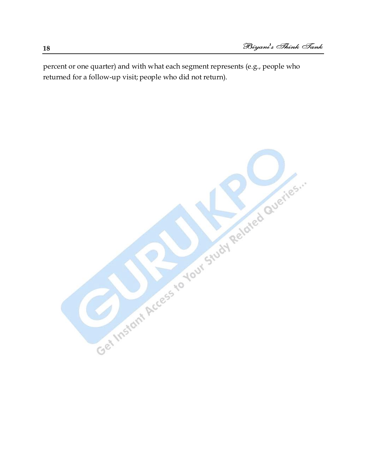percent or one quarter) and with what each segment represents (e.g., people who returned for a follow-up visit; people who did not return).

Get Instant Access to Your Stuart Related Queries.

**18**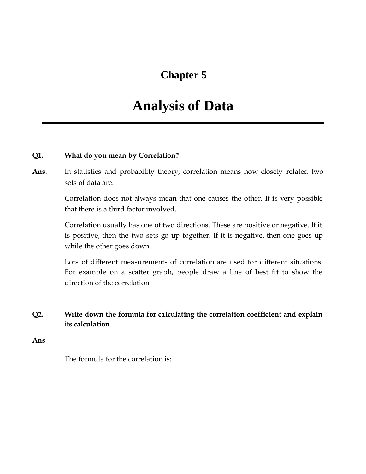## **Chapter 5**

## **Analysis of Data**

#### **Q1. What do you mean by Correlation?**

**Ans**. In statistics and probability theory, correlation means how closely related two sets of data are.

> Correlation does not always mean that one causes the other. It is very possible that there is a third factor involved.

> Correlation usually has one of two directions. These are positive or negative. If it is positive, then the two sets go up together. If it is negative, then one goes up while the other goes down.

> Lots of different measurements of correlation are used for different situations. For example on a scatter graph, people draw a line of best fit to show the direction of the correlation

#### **Q2. Write down the formula for calculating the correlation coefficient and explain its calculation**

**Ans**

The formula for the correlation is: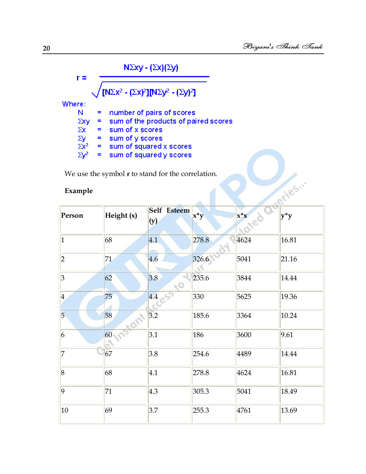| $N\Sigma xy - (\Sigma x)(\Sigma y)$                                                         |     |                                      |  |  |  |  |  |  |  |
|---------------------------------------------------------------------------------------------|-----|--------------------------------------|--|--|--|--|--|--|--|
| <sup>'</sup> [ΝΣx <sup>2</sup> - (Σx) <sup>2</sup> ][ΝΣy <sup>2</sup> - (Σy) <sup>2</sup> ] |     |                                      |  |  |  |  |  |  |  |
| Where:                                                                                      |     |                                      |  |  |  |  |  |  |  |
| N                                                                                           |     | number of pairs of scores            |  |  |  |  |  |  |  |
| $\Sigma$ xy                                                                                 | Ξ   | sum of the products of paired scores |  |  |  |  |  |  |  |
| $\Sigma$ x                                                                                  | $=$ | sum of x scores                      |  |  |  |  |  |  |  |
| $\frac{\Sigma y}{\Sigma x^2}$                                                               | Ξ   | sum of y scores                      |  |  |  |  |  |  |  |
|                                                                                             | $=$ | sum of squared x scores              |  |  |  |  |  |  |  |
|                                                                                             |     | sum of squared y scores              |  |  |  |  |  |  |  |

#### **Example**

| ⊷<br>$34.11$ or $34.421$ or $3.330$ or $3.3$<br>We use the symbol $r$ to stand for the correlation. |            |                    |                           |        |        |  |  |  |
|-----------------------------------------------------------------------------------------------------|------------|--------------------|---------------------------|--------|--------|--|--|--|
| stiles."<br>Example                                                                                 |            |                    |                           |        |        |  |  |  |
| Person                                                                                              | Height (x) | Self Esteem<br>(y) | $\mathbf{x}^* \mathbf{y}$ | $x^*x$ | $y^*y$ |  |  |  |
| 1                                                                                                   | 68         | 4.1                | 278.8                     | 4624   | 16.81  |  |  |  |
| 2                                                                                                   | 71         | 4.6                | 326.6                     | 5041   | 21.16  |  |  |  |
| 3                                                                                                   | 62         | 3.8<br>12 S        | 235.6                     | 3844   | 14.44  |  |  |  |
| $\vert 4 \vert$                                                                                     | 75         | 4.4                | 330                       | 5625   | 19.36  |  |  |  |
| 5                                                                                                   | 58         | 3.2                | 185.6                     | 3364   | 10.24  |  |  |  |
| 6                                                                                                   | 60         | 3.1                | 186                       | 3600   | 9.61   |  |  |  |
| 17                                                                                                  | 67         | 3.8                | 254.6                     | 4489   | 14.44  |  |  |  |
| $\vert 8$                                                                                           | 68         | 4.1                | 278.8                     | 4624   | 16.81  |  |  |  |
| $ 9\rangle$                                                                                         | 71         | 4.3                | 305.3                     | 5041   | 18.49  |  |  |  |
| $ 10\rangle$                                                                                        | 69         | 3.7                | 255.3                     | 4761   | 13.69  |  |  |  |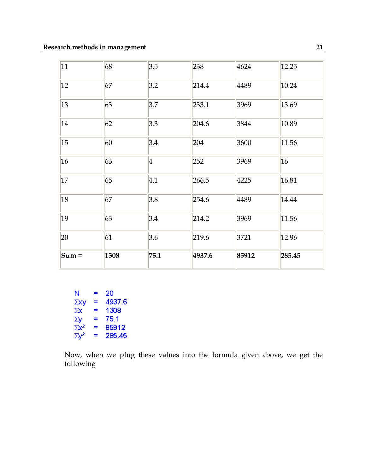| 11      | 68   | 3.5             | 238    | 4624  | 12.25  |
|---------|------|-----------------|--------|-------|--------|
| 12      | 67   | 3.2             | 214.4  | 4489  | 10.24  |
| 13      | 63   | 3.7             | 233.1  | 3969  | 13.69  |
| 14      | 62   | 3.3             | 204.6  | 3844  | 10.89  |
| 15      | 60   | 3.4             | 204    | 3600  | 11.56  |
| 16      | 63   | $\vert 4 \vert$ | 252    | 3969  | 16     |
| 17      | 65   | 4.1             | 266.5  | 4225  | 16.81  |
| 18      | 67   | 3.8             | 254.6  | 4489  | 14.44  |
| 19      | 63   | 3.4             | 214.2  | 3969  | 11.56  |
| 20      | 61   | 3.6             | 219.6  | 3721  | 12.96  |
| $Sum =$ | 1308 | 75.1            | 4937.6 | 85912 | 285.45 |

| N            | ≡ | 20     |
|--------------|---|--------|
| Σху          | ≡ | 4937.6 |
| Σх           | = | 1308   |
| Σу           | ≡ | 75.1   |
| $\Sigma x^2$ | = | 85912  |
| $\Sigma y^2$ | ≡ | 285.45 |

Now, when we plug these values into the formula given above, we get the following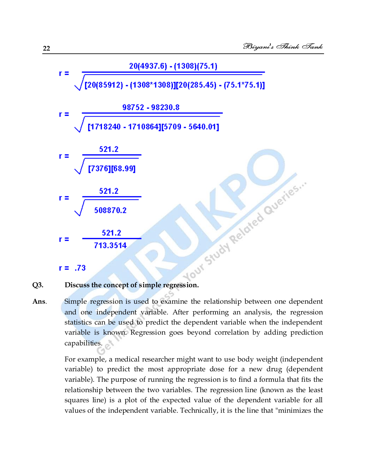

**Ans**. Simple regression is used to examine the relationship between one dependent and one independent variable. After performing an analysis, the regression statistics can be used to predict the dependent variable when the independent variable is known. Regression goes beyond correlation by adding prediction capabilities.

> For example, a medical researcher might want to use body weight (independent variable) to predict the most appropriate dose for a new drug (dependent variable). The purpose of running the regression is to find a formula that fits the relationship between the two variables. The regression line (known as the least squares line) is a plot of the expected value of the dependent variable for all values of the independent variable. Technically, it is the line that "minimizes the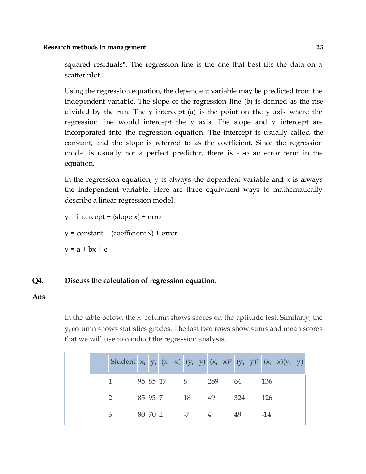squared residuals". The regression line is the one that best fits the data on a scatter plot.

Using the regression equation, the dependent variable may be predicted from the independent variable. The slope of the regression line (b) is defined as the rise divided by the run. The y intercept (a) is the point on the y axis where the regression line would intercept the y axis. The slope and y intercept are incorporated into the regression equation. The intercept is usually called the constant, and the slope is referred to as the coefficient. Since the regression model is usually not a perfect predictor, there is also an error term in the equation.

In the regression equation,  $y$  is always the dependent variable and  $x$  is always the independent variable. Here are three equivalent ways to mathematically describe a linear regression model.

 $y =$  intercept + (slope x) + error  $y = constant + (coefficient x) + error$  $y = a + bx + e$ 

#### **Q4. Discuss the calculation of regression equation.**

#### **Ans**

In the table below, the  $x_i$  column shows scores on the aptitude test. Similarly, the  $y_i$  column shows statistics grades. The last two rows show sums and mean scores that we will use to conduct the regression analysis.

|  |               |  |            |              |                   |      | Student $x_i$ $y_i$ $(x_i - x)$ $(y_i - y)$ $(x_i - x)^2$ $(y_i - y)^2$ $(x_i - x)(y_i - y)$ |
|--|---------------|--|------------|--------------|-------------------|------|----------------------------------------------------------------------------------------------|
|  |               |  |            |              | 95 85 17 8 289 64 |      | 136                                                                                          |
|  | $\mathcal{P}$ |  | 85 95 7 18 |              | 49                | 324  | - 126                                                                                        |
|  | $\mathcal{B}$ |  |            | 80 70 2 -7 4 |                   | - 49 | $-14$                                                                                        |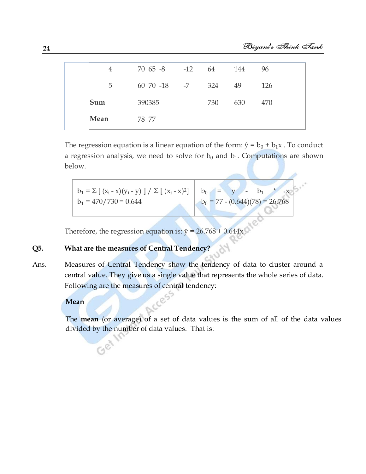|      | 4              | 70 65 -8 -12 64  |     | 144 | 96  |
|------|----------------|------------------|-----|-----|-----|
|      | 5 <sup>1</sup> | 60 70 -18 -7 324 |     | 49  | 126 |
| Sum  |                | 390385           | 730 | 630 | 470 |
| Mean |                | 78.77            |     |     |     |

The regression equation is a linear equation of the form:  $\hat{y} = b_0 + b_1x$ . To conduct a regression analysis, we need to solve for  $b_0$  and  $b_1$ . Computations are shown below.

$$
b_1 = \sum [ (x_i - x)(y_i - y) ] / \sum [ (x_i - x)^2 ]
$$
\n
$$
b_0 = y - b_1 * x
$$
\n
$$
b_1 = 470/730 = 0.644
$$
\n
$$
b_0 = 77 - (0.644)(78) = 26.768
$$

Therefore, the regression equation is:  $\hat{y} = 26.768 + 0.644x$ .

#### **Q5. What are the measures of Central Tendency?**

Ans. Measures of Central Tendency show the tendency of data to cluster around a central value. They give us a single value that represents the whole series of data. Following are the measures of central tendency:

#### **Mean**

The **mean** (or average) of a set of data values is the sum of all of the data values divided by the number of data values. That is: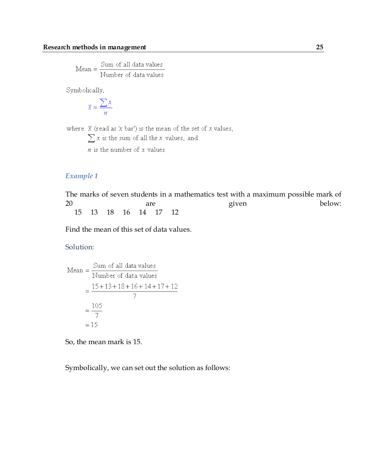$$
Mean = \frac{Sum of all data values}{Number of data values}
$$

Symbolically,

$$
\overline{x} = \frac{\sum x}{n}
$$

where  $\bar{x}$  (read as 'x bar') is the mean of the set of x values,

 $\sum x$  is the sum of all the  $x$  values, and

 $n$  is the number of  $x$  values.

#### *Example 1*

The marks of seven students in a mathematics test with a maximum possible mark of 20 are are given below: 15 13 18 16 14 17 12

Find the mean of this set of data values.

#### Solution:

Mean = 
$$
\frac{\text{Sum of all data values}}{\text{Number of data values}}
$$

$$
= \frac{15 + 13 + 18 + 16 + 14 + 17 + 12}{7}
$$

$$
= \frac{105}{7}
$$

$$
= 15
$$

So, the mean mark is 15.

Symbolically, we can set out the solution as follows: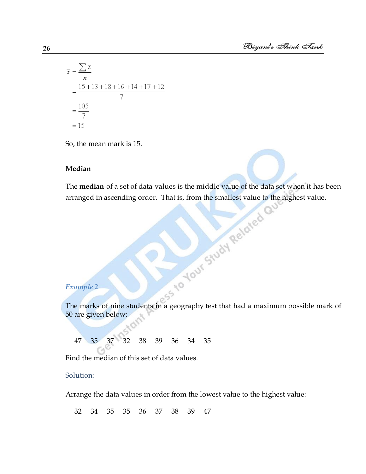$$
\overline{x} = \frac{\sum x}{n}
$$
  
= 
$$
\frac{15 + 13 + 18 + 16 + 14 + 17 + 12}{7}
$$
  
= 
$$
\frac{105}{7}
$$
  
= 15

So, the mean mark is 15.

#### **Median**

The **median** of a set of data values is the middle value of the data set when it has been arranged in ascending order. That is, from the smallest value to the highest value.<br>  $\mathbb{R} \times \mathbb{R} \times \mathbb{R} \times \mathbb{R} \times \mathbb{R} \times \mathbb{R$ arranged in ascending order. That is, from the smallest value to the highest value.

#### *Example 2*

Example 2<br>The marks of nine students in a geography test that had a maximum possible mark of 50 are given below:

47 35 37 32 38 39 36 34 35

Find the median of this set of data values.

#### Solution:

Arrange the data values in order from the lowest value to the highest value:

32 34 35 35 36 37 38 39 47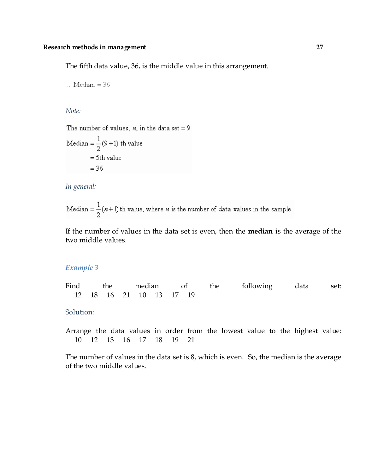The fifth data value, 36, is the middle value in this arrangement.

 $\therefore$  Median = 36

*Note:*

The number of values, n, in the data set = 9

Median =  $\frac{1}{2}(9+1)$  th value  $= 5$ th value  $= 36$ 

*In general:*

Median =  $\frac{1}{2}(n+1)$  th value, where *n* is the number of data values in the sample

If the number of values in the data set is even, then the **median** is the average of the two middle values.

#### *Example 3*

Find the median of the following data set: 12 18 16 21 10 13 17 19

Solution:

Arrange the data values in order from the lowest value to the highest value: 10 12 13 16 17 18 19 21

The number of values in the data set is 8, which is even. So, the median is the average of the two middle values.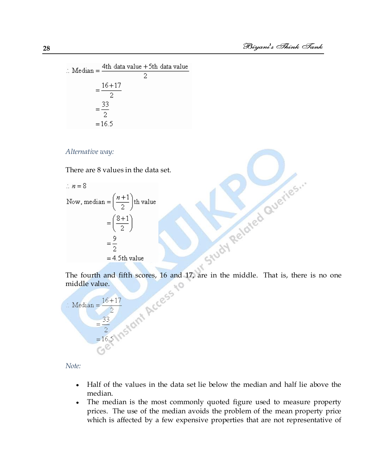$\therefore \text{ Median} = \frac{4\text{th data value} + 5\text{th data value}}{2}$  $=\frac{16+17}{2}$  $=\frac{33}{2}$  $=16.5$ 

#### *Alternative way:*

There are 8 values in the data set.

Alternative way:

\nThere are 8 values in the data set.

\n.. 
$$
n = 8
$$

\nNow, median =  $\left(\frac{n+1}{2}\right)$ th value

\n $= \left(\frac{8+1}{2}\right)$ 

\n $= \frac{9}{2}$ 

\n $= 4.5$ th value

\nThe fourth and fifth scores, 16 and 17, are in the middle. That is, there is no one middle value.

\n... Median =  $\frac{16+17}{2}$ 

\n $= \frac{33}{2}$ 

\n $= 16.5$ 

\n11.5

middle value.



*Note:*

- Half of the values in the data set lie below the median and half lie above the  $\bullet$ median.
- The median is the most commonly quoted figure used to measure property  $\bullet$ prices. The use of the median avoids the problem of the mean property price which is affected by a few expensive properties that are not representative of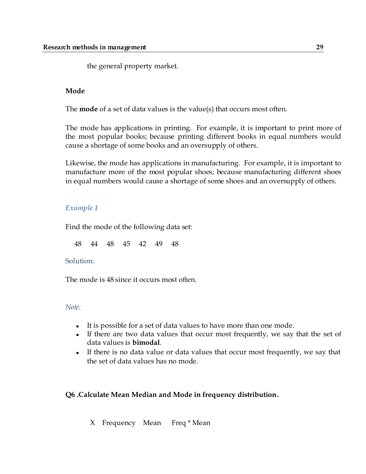the general property market.

#### **Mode**

The **mode** of a set of data values is the value(s) that occurs most often.

The mode has applications in printing. For example, it is important to print more of the most popular books; because printing different books in equal numbers would cause a shortage of some books and an oversupply of others.

Likewise, the mode has applications in manufacturing. For example, it is important to manufacture more of the most popular shoes; because manufacturing different shoes in equal numbers would cause a shortage of some shoes and an oversupply of others.

#### *Example 1*

Find the mode of the following data set:

48 44 48 45 42 49 48

#### Solution:

The mode is 48 since it occurs most often.

#### *Note:*

- It is possible for a set of data values to have more than one mode.
- If there are two data values that occur most frequently, we say that the set of data values is **bimodal**.
- If there is no data value or data values that occur most frequently, we say that the set of data values has no mode.

#### **Q6 .Calculate Mean Median and Mode in frequency distribution.**

X Frequency Mean Freq \* Mean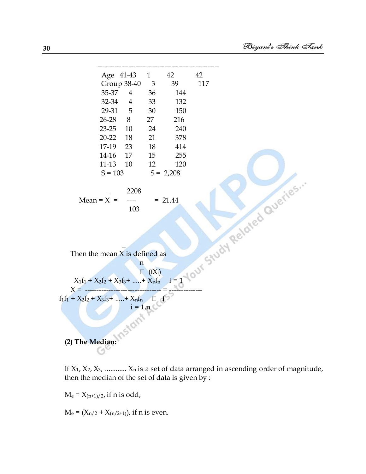

If  $X_1$ ,  $X_2$ ,  $X_3$ , ............  $X_n$  is a set of data arranged in ascending order of magnitude, then the median of the set of data is given by :

 $M_e = X_{(n+1)/2}$ , if n is odd,

 $M_e = (X_{n/2} + X_{(n/2+1)})$ , if n is even.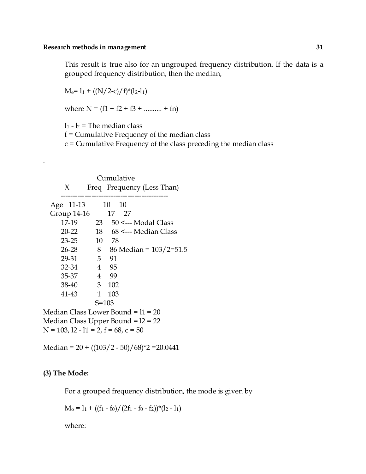This result is true also for an ungrouped frequency distribution. If the data is a grouped frequency distribution, then the median,

 $M_e$ = 1<sub>1</sub> + ((N/2-c)/f)\*(1<sub>2</sub>-1<sub>1</sub>)

where  $N = (f1 + f2 + f3 + \dots + fn)$ 

 $l_1$  -  $l_2$  = The median class

f = Cumulative Frequency of the median class

c = Cumulative Frequency of the class preceding the median class

| Cumulative                              |                |                                    |  |  |  |  |
|-----------------------------------------|----------------|------------------------------------|--|--|--|--|
| X                                       |                | Freq Frequency (Less Than)         |  |  |  |  |
| Age 11-13                               |                | ---------<br>-10<br>10             |  |  |  |  |
| Group 14-16                             |                | 17<br>27                           |  |  |  |  |
| 17-19                                   | 23             | $50 \le -$ Modal Class             |  |  |  |  |
| $20 - 22$                               | 18             | 68 <--- Median Class               |  |  |  |  |
| 23-25                                   |                | 10 78                              |  |  |  |  |
| $26 - 28$                               | 8              | 86 Median = $103/2=51.5$           |  |  |  |  |
| 29-31                                   | 5 <sup>7</sup> | 91                                 |  |  |  |  |
| 32-34                                   |                | 4 95                               |  |  |  |  |
| 35-37                                   |                | 4 99                               |  |  |  |  |
| 38-40                                   | 3 <sup>7</sup> | 102                                |  |  |  |  |
| 41-43                                   | $\mathbf{1}$   | 103                                |  |  |  |  |
|                                         | $S = 103$      |                                    |  |  |  |  |
|                                         |                | Median Class Lower Bound = l1 = 20 |  |  |  |  |
| Median Class Upper Bound = 12 = 22      |                |                                    |  |  |  |  |
| $N = 103$ , 12 - 11 = 2, f = 68, c = 50 |                |                                    |  |  |  |  |

Median =  $20 + ((103/2 - 50)/68)^*2 = 20.0441$ 

#### **(3) The Mode:**

.

For a grouped frequency distribution, the mode is given by

 $M_0 = 1_1 + ((f_1 - f_0)/(2f_1 - f_0 - f_2))^*(1_2 - 1_1)$ 

where: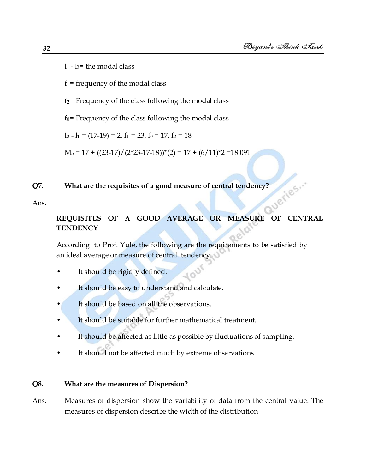$l_1$  -  $l_2$  = the modal class

 $f_1$ = frequency of the modal class

 $f_2$ = Frequency of the class following the modal class

 $f_0$ = Frequency of the class following the modal class

 $l_2 - l_1 = (17-19) = 2$ ,  $f_1 = 23$ ,  $f_0 = 17$ ,  $f_2 = 18$ 

 $M_0 = 17 + ((23-17)/(2*23-17-18)*2 = 17 + (6/11)*2 = 18.091$ 

## ueries... **Q7. What are the requisites of a good measure of central tendency?**

Ans.

#### **REQUISITES OF A GOOD AVERAGE OR MEASURE OF CENTRAL TENDENCY**

400

According to Prof. Yule, the following are the requirements to be satisfied by an ideal average or measure of central tendency.

- It should be rigidly defined.
- It should be easy to understand and calculate.
- It should be based on all the observations.
- It should be suitable for further mathematical treatment.
- It should be affected as little as possible by fluctuations of sampling.
- It should not be affected much by extreme observations.

#### **Q8. What are the measures of Dispersion?**

Ans. Measures of dispersion show the variability of data from the central value. The measures of dispersion describe the width of the distribution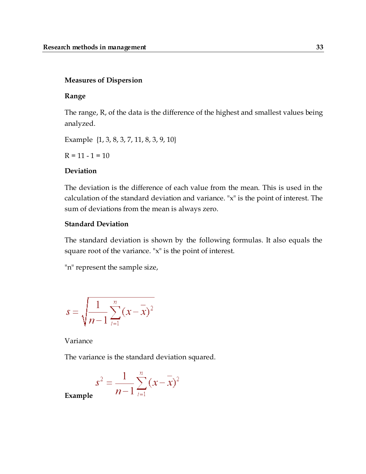#### **Measures of Dispersion**

#### **Range**

The range, R, of the data is the difference of the highest and smallest values being analyzed.

Example {1, 3, 8, 3, 7, 11, 8, 3, 9, 10}

 $R = 11 - 1 = 10$ 

#### **Deviation**

The deviation is the difference of each value from the mean. This is used in the calculation of the standard deviation and variance. "x" is the point of interest. The sum of deviations from the mean is always zero.

#### **Standard Deviation**

The standard deviation is shown by the following formulas. It also equals the square root of the variance. "x" is the point of interest.

"n" represent the sample size,

$$
s = \sqrt{\frac{1}{n-1} \sum_{i=1}^{n} (x - \overline{x})^2}
$$

Variance

The variance is the standard deviation squared.

$$
s^{2} = \frac{1}{n-1} \sum_{i=1}^{n} (x - \overline{x})^{2}
$$

**Example**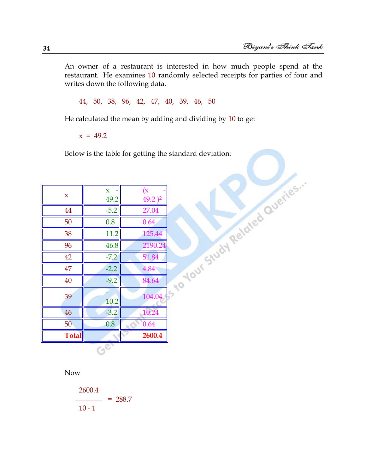An owner of a restaurant is interested in how much people spend at the restaurant. He examines 10 randomly selected receipts for parties of four and writes down the following data.

44, 50, 38, 96, 42, 47, 40, 39, 46, 50

He calculated the mean by adding and dividing by 10 to get

 $x = 49.2$ 

|              | Below is the table for getting the standard deviation: |                              |                                 |  |  |  |  |
|--------------|--------------------------------------------------------|------------------------------|---------------------------------|--|--|--|--|
|              |                                                        |                              | Tsto Your Study Related Queries |  |  |  |  |
| $\mathbf x$  | $\mathbf{x}$<br>49.2                                   | (x)<br>$49.2$ ) <sup>2</sup> |                                 |  |  |  |  |
| 44           | $-5.2$                                                 | 27.04                        |                                 |  |  |  |  |
| 50           | 0.8                                                    | 0.64                         |                                 |  |  |  |  |
| 38           | 11.2                                                   | 125.44                       |                                 |  |  |  |  |
| 96           | 46.8                                                   | 2190.24                      |                                 |  |  |  |  |
| 42           | $-7.2$                                                 | 51.84                        |                                 |  |  |  |  |
| 47           | $-2.2$                                                 | 4.84                         |                                 |  |  |  |  |
| 40           | $-9.2$                                                 | 84.64                        |                                 |  |  |  |  |
| 39           | 10.2                                                   | 104.04                       |                                 |  |  |  |  |
| 46           | $-3.2$                                                 | 10.24                        |                                 |  |  |  |  |
| 50           | 0.8                                                    | 0.64                         |                                 |  |  |  |  |
| <b>Total</b> |                                                        | 2600.4                       |                                 |  |  |  |  |
|              | $G^{\overline{C}}$                                     |                              |                                 |  |  |  |  |

Now

$$
\frac{2600.4}{10-1} = 288.7
$$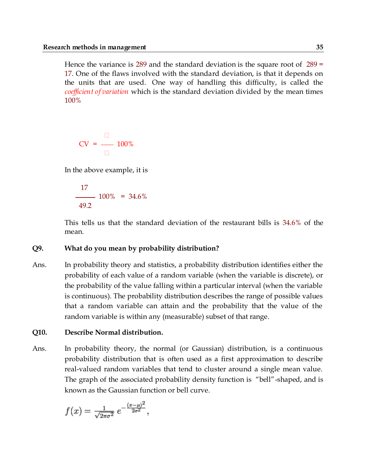Hence the variance is  $289$  and the standard deviation is the square root of  $289 =$ 17. One of the flaws involved with the standard deviation, is that it depends on the units that are used. One way of handling this difficulty, is called the *coefficient of variation* which is the standard deviation divided by the mean times 100%

$$
CV = \frac{1}{\Box} 100\%
$$

In the above example, it is

$$
\frac{17}{49.2} \cdot 100\% = 34.6\%
$$

This tells us that the standard deviation of the restaurant bills is 34.6% of the mean.

#### **Q9. What do you mean by probability distribution?**

Ans. In probability theory and statistics, a probability distribution identifies either the probability of each value of a random variable (when the variable is discrete), or the probability of the value falling within a particular interval (when the variable is continuous). The probability distribution describes the range of possible values that a random variable can attain and the probability that the value of the random variable is within any (measurable) subset of that range.

#### **Q10. Describe Normal distribution.**

Ans. In probability theory, the normal (or Gaussian) distribution, is a continuous probability distribution that is often used as a first approximation to describe real-valued random variables that tend to cluster around a single mean value. The graph of the associated probability density function is "bell"-shaped, and is known as the Gaussian function or bell curve.

$$
f(x) = \frac{1}{\sqrt{2\pi\sigma^2}} e^{-\frac{(x-\mu)^2}{2\sigma^2}},
$$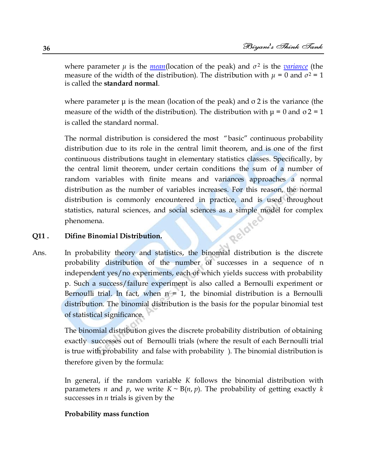where parameter *μ* is the *mean*(location of the peak) and *σ* <sup>2</sup> is the *variance* (the measure of the width of the distribution). The distribution with  $\mu = 0$  and  $\sigma^2 = 1$ is called the **standard normal**.

where parameter  $\mu$  is the mean (location of the peak) and  $\sigma$  2 is the variance (the measure of the width of the distribution). The distribution with  $\mu = 0$  and  $\sigma$ 2 = 1 is called the standard normal.

The normal distribution is considered the most "basic" continuous probability distribution due to its role in the central limit theorem, and is one of the first continuous distributions taught in elementary statistics classes. Specifically, by the central limit theorem, under certain conditions the sum of a number of random variables with finite means and variances approaches a normal distribution as the number of variables increases. For this reason, the normal distribution is commonly encountered in practice, and is used throughout statistics, natural sciences, and social sciences as a simple model for complex<br>phenomena.<br>Difine Binomial Distribution. phenomena.

#### **Q11 . Difine Binomial Distribution.**

Ans. In probability theory and statistics, the binomial distribution is the discrete probability distribution of the number of successes in a sequence of n independent yes/no experiments, each of which yields success with probability p. Such a success/failure experiment is also called a Bernoulli experiment or Bernoulli trial. In fact, when  $n = 1$ , the binomial distribution is a Bernoulli distribution. The binomial distribution is the basis for the popular binomial test of statistical significance.

> The binomial distribution gives the discrete probability distribution of obtaining exactly successes out of Bernoulli trials (where the result of each Bernoulli trial is true with probability and false with probability ). The binomial distribution is therefore given by the formula:

> In general, if the random variable *K* follows the binomial distribution with parameters *n* and *p*, we write  $K \sim B(n, p)$ . The probability of getting exactly *k* successes in *n* trials is given by the

#### **Probability mass function**

**36**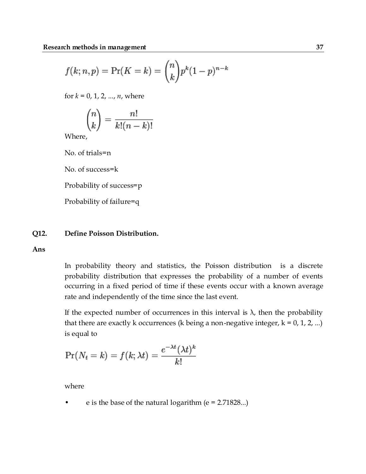$$
f(k; n, p) = Pr(K = k) = {n \choose k} p^{k} (1-p)^{n-k}
$$

for  $k = 0, 1, 2, ..., n$ , where

$$
\binom{n}{k} = \frac{n!}{k!(n-k)!}
$$

Where,

No. of trials=n

No. of success=k

Probability of success=p

Probability of failure=q

#### **Q12. Define Poisson Distribution.**

**Ans**

In probability theory and statistics, the Poisson distribution is a discrete probability distribution that expresses the probability of a number of events occurring in a fixed period of time if these events occur with a known average rate and independently of the time since the last event.

If the expected number of occurrences in this interval is  $\lambda$ , then the probability that there are exactly k occurrences (k being a non-negative integer,  $k = 0, 1, 2, ...$ ) is equal to

$$
\Pr(N_t = k) = f(k; \lambda t) = \frac{e^{-\lambda t} (\lambda t)^k}{k!}
$$

where

e is the base of the natural logarithm ( $e = 2.71828...$ )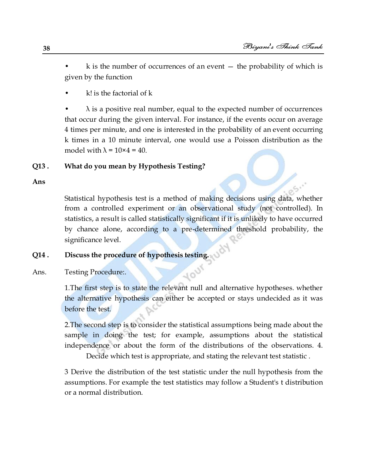$k$  is the number of occurrences of an event  $-$  the probability of which is given by the function

 $k!$  is the factorial of  $k$ 

 $\lambda$  is a positive real number, equal to the expected number of occurrences that occur during the given interval. For instance, if the events occur on average 4 times per minute, and one is interested in the probability of an event occurring k times in a 10 minute interval, one would use a Poisson distribution as the model with  $\lambda = 10 \times 4 = 40$ .

#### **Q13 . What do you mean by Hypothesis Testing?**

**Ans**

Statistical hypothesis test is a method of making decisions using data, whether from a controlled experiment or an observational study (not controlled). In statistics, a result is called statistically significant if it is unlikely to have occurred by chance alone, according to a pre-determined threshold probability, the significance level.

# **Q14 . Discuss the procedure of hypothesis testing.**

Ans. Testing Procedure:.

1.The first step is to state the relevant null and alternative hypotheses. whether the alternative hypothesis can either be accepted or stays undecided as it was before the test.

Your

2.The second step is to consider the statistical assumptions being made about the sample in doing the test; for example, assumptions about the statistical independence or about the form of the distributions of the observations. 4.

Decide which test is appropriate, and stating the relevant test statistic .

3 Derive the distribution of the test statistic under the null hypothesis from the assumptions. For example the test statistics may follow a Student's t distribution or a normal distribution.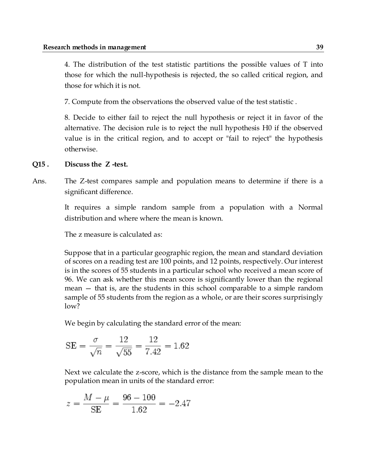4. The distribution of the test statistic partitions the possible values of T into those for which the null-hypothesis is rejected, the so called critical region, and those for which it is not.

7. Compute from the observations the observed value of the test statistic .

8. Decide to either fail to reject the null hypothesis or reject it in favor of the alternative. The decision rule is to reject the null hypothesis H0 if the observed value is in the critical region, and to accept or "fail to reject" the hypothesis otherwise.

#### **Q15 . Discuss the Z -test.**

Ans. The Z-test compares sample and population means to determine if there is a significant difference.

> It requires a simple random sample from a population with a Normal distribution and where where the mean is known.

The z measure is calculated as:

Suppose that in a particular geographic region, the mean and standard deviation of scores on a reading test are 100 points, and 12 points, respectively. Our interest is in the scores of 55 students in a particular school who received a mean score of 96. We can ask whether this mean score is significantly lower than the regional mean — that is, are the students in this school comparable to a simple random sample of 55 students from the region as a whole, or are their scores surprisingly low?

We begin by calculating the standard error of the mean:

SE = 
$$
\frac{\sigma}{\sqrt{n}} = \frac{12}{\sqrt{55}} = \frac{12}{7.42} = 1.62
$$

Next we calculate the z-score, which is the distance from the sample mean to the population mean in units of the standard error:

$$
z = \frac{M - \mu}{SE} = \frac{96 - 100}{1.62} = -2.47
$$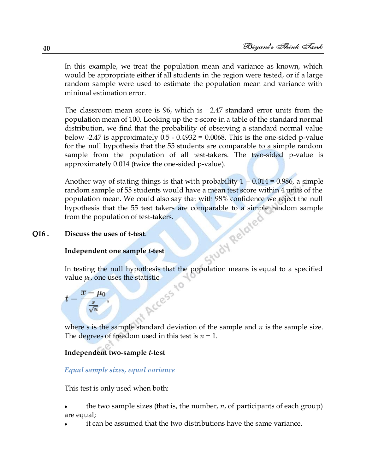In this example, we treat the population mean and variance as known, which would be appropriate either if all students in the region were tested, or if a large random sample were used to estimate the population mean and variance with minimal estimation error.

The classroom mean score is 96, which is −2.47 standard error units from the population mean of 100. Looking up the *z*-score in a table of the standard normal distribution, we find that the probability of observing a standard normal value below  $-2.47$  is approximately  $0.5 - 0.4932 = 0.0068$ . This is the one-sided p-value for the null hypothesis that the 55 students are comparable to a simple random sample from the population of all test-takers. The two-sided p-value is approximately 0.014 (twice the one-sided p-value).

Another way of stating things is that with probability  $1 - 0.014 = 0.986$ , a simple random sample of 55 students would have a mean test score within 4 units of the population mean. We could also say that with 98% confidence we reject the null hypothesis that the 55 test takers are comparable to a simple random sample<br>from the population of test-takers.<br>Discuss the uses of t-test.<br>Independent one sample *t*-test<br>In: from the population of test-takers.

#### **Q16 . Discuss the uses of t-test**.

#### **Independent one sample** *t***-test**

In testing the null hypothesis that the population means is equal to a specified

## value  $\mu_0$ , one uses the statistic<br> $t = \frac{\overline{x} - \mu_0}{\frac{s}{\sqrt{n}}}$ ,  $t = \frac{\overline{x} - \mu_0}{\frac{s}{\sqrt{n}}},$

where *s* is the sample standard deviation of the sample and *n* is the sample size. The degrees of freedom used in this test is *n* − 1.

#### **Independent two-sample** *t***-test**

#### *Equal sample sizes, equal variance*

This test is only used when both:

- the two sample sizes (that is, the number, *n*, of participants of each group) are equal;
- it can be assumed that the two distributions have the same variance.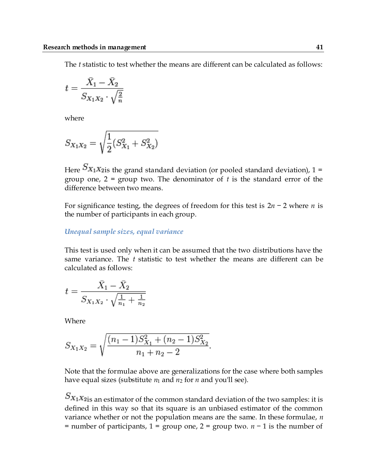The *t* statistic to test whether the means are different can be calculated as follows:

$$
t = \frac{\bar{X}_1 - \bar{X}_2}{S_{X_1 X_2} \cdot \sqrt{\frac{2}{n}}}
$$

where

$$
S_{X_1X_2} = \sqrt{\frac{1}{2}(S_{X_1}^2 + S_{X_2}^2)}
$$

Here  $S_{X_1X_2}$  the grand standard deviation (or pooled standard deviation), 1 = group one, 2 = group two. The denominator of *t* is the standard error of the difference between two means.

For significance testing, the degrees of freedom for this test is 2*n* − 2 where *n* is the number of participants in each group.

#### *Unequal sample sizes, equal variance*

This test is used only when it can be assumed that the two distributions have the same variance. The *t* statistic to test whether the means are different can be calculated as follows:

$$
t = \frac{\bar{X}_1 - \bar{X}_2}{S_{X_1 X_2} \cdot \sqrt{\frac{1}{n_1} + \frac{1}{n_2}}}
$$

Where

$$
S_{X_1X_2} = \sqrt{\frac{(n_1 - 1)S_{X_1}^2 + (n_2 - 1)S_{X_2}^2}{n_1 + n_2 - 2}}
$$

Note that the formulae above are generalizations for the case where both samples have equal sizes (substitute *n*<sup>1</sup> and *n*<sup>2</sup> for *n* and you'll see).

 $S_{X_1X_2}$  is an estimator of the common standard deviation of the two samples: it is defined in this way so that its square is an unbiased estimator of the common variance whether or not the population means are the same. In these formulae, *n* = number of participants, 1 = group one, 2 = group two. *n* − 1 is the number of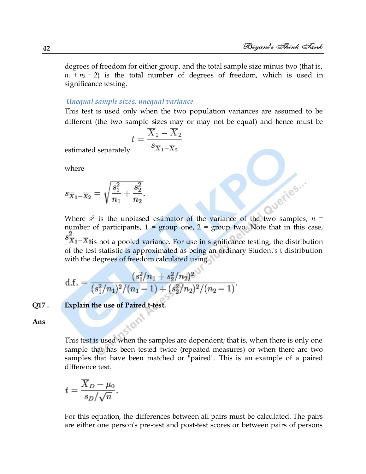Queries...

degrees of freedom for either group, and the total sample size minus two (that is,  $n_1 + n_2 - 2$ ) is the total number of degrees of freedom, which is used in significance testing.

#### *Unequal sample sizes, unequal variance*

This test is used only when the two population variances are assumed to be different (the two sample sizes may or may not be equal) and hence must be

$$
t = \frac{\overline{X}_1 - \overline{X}_2}{s_{\overline{X}_1 - \overline{X}_2}}
$$

estimated separately

where

$$
s_{\overline{X}_1 - \overline{X}_2} = \sqrt{\frac{s_1^2}{n_1} + \frac{s_2^2}{n_2}}.
$$

Where  $s^2$  is the unbiased estimator of the variance of the two samples,  $n =$ number of participants,  $1 = \text{group one}, 2 = \text{group two}$ . Note that in this case,

 $s^2\overline{X}_1 - \overline{X}_2$  is not a pooled variance. For use in significance testing, the distribution of the test statistic is approximated as being an ordinary Student's t distribution with the degrees of freedom calculated using

d.f. = 
$$
\frac{(s_1^2/n_1 + s_2^2/n_2)^2}{(s_1^2/n_1)^2/(n_1-1) + (s_2^2/n_2)^2/(n_2-1)}
$$

#### **Q17 . Explain the use of Paired t-test.**

**Ans**

This test is used when the samples are dependent; that is, when there is only one sample that has been tested twice (repeated measures) or when there are two samples that have been matched or "paired". This is an example of a paired difference test.

$$
t = \frac{\overline{X}_D - \mu_0}{s_D / \sqrt{n}}.
$$

For this equation, the differences between all pairs must be calculated. The pairs are either one person's pre-test and post-test scores or between pairs of persons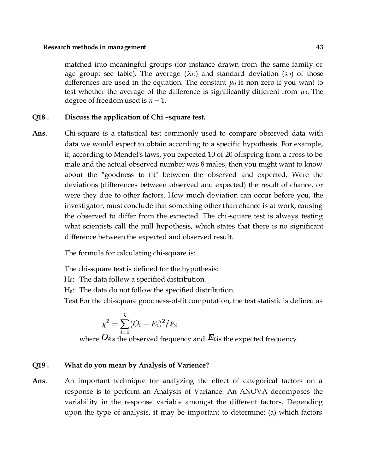matched into meaningful groups (for instance drawn from the same family or age group: see table). The average (*XD*) and standard deviation (*sD*) of those differences are used in the equation. The constant  $\mu_0$  is non-zero if you want to test whether the average of the difference is significantly different from  $\mu_0$ . The degree of freedom used is *n* − 1.

#### **Q18 . Discuss the application of Chi –square test.**

**Ans.** Chi-square is a statistical test commonly used to compare observed data with data we would expect to obtain according to a specific hypothesis. For example, if, according to Mendel's laws, you expected 10 of 20 offspring from a cross to be male and the actual observed number was 8 males, then you might want to know about the "goodness to fit" between the observed and expected. Were the deviations (differences between observed and expected) the result of chance, or were they due to other factors. How much deviation can occur before you, the investigator, must conclude that something other than chance is at work, causing the observed to differ from the expected. The chi-square test is always testing what scientists call the null hypothesis, which states that there is no significant difference between the expected and observed result.

The formula for calculating chi-square is:

The chi-square test is defined for the hypothesis:

H0: The data follow a specified distribution.

Ha: The data do not follow the specified distribution.

Test For the chi-square goodness-of-fit computation, the test statistic is defined as

$$
\chi^2=\sum_{i=1}^k (O_i-E_i)^2/E_i
$$

where  $O$  is the observed frequency and  $E$  is the expected frequency.

#### **Q19 . What do you mean by Analysis of Varience?**

**Ans**. An important technique for analyzing the effect of categorical factors on a response is to perform an Analysis of Variance. An ANOVA decomposes the variability in the response variable amongst the different factors. Depending upon the type of analysis, it may be important to determine: (a) which factors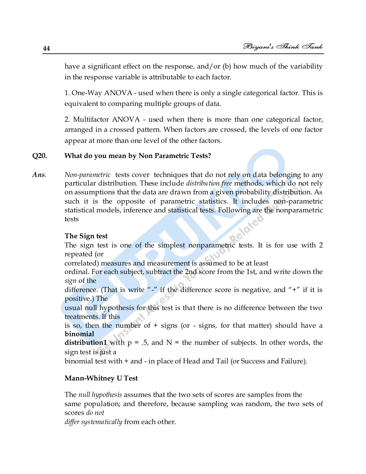have a significant effect on the response, and/or (b) how much of the variability in the response variable is attributable to each factor.

1. One-Way ANOVA - used when there is only a single categorical factor. This is equivalent to comparing multiple groups of data.

2. Multifactor ANOVA - used when there is more than one categorical factor, arranged in a crossed pattern. When factors are crossed, the levels of one factor appear at more than one level of the other factors.

#### **Q20. What do you mean by Non Parametric Tests?**

*Ans. Non-parametric* tests cover techniques that do not rely on data belonging to any particular distribution. These include *distribution free* methods, which do not rely on assumptions that the data are drawn from a given probability distribution. As such it is the opposite of parametric statistics. It includes non-parametric statistical models, inference and statistical tests. Following are the nonparametric tests

#### **The Sign test**

The sign test is one of the simplest nonparametric tests. It is for use with 2 repeated (or

correlated) measures and measurement is assumed to be at least

ordinal. For each subject, subtract the 2nd score from the 1st, and write down the *sign* of the

difference. (That is write "-" if the difference score is negative, and "+" if it is positive.) The

usual null hypothesis for this test is that there is no difference between the two treatments. If this

is so, then the number of + signs (or - signs, for that matter) should have a **binomial**

**distribution1** with  $p = 0.5$ , and  $N =$  the number of subjects. In other words, the sign test is just a

binomial test with + and - in place of Head and Tail (or Success and Failure).

#### **Mann-Whitney U Test**

The *null hypothesis* assumes that the two sets of scores are samples from the same population; and therefore, because sampling was random, the two sets of scores *do not*

*differ systematically* from each other.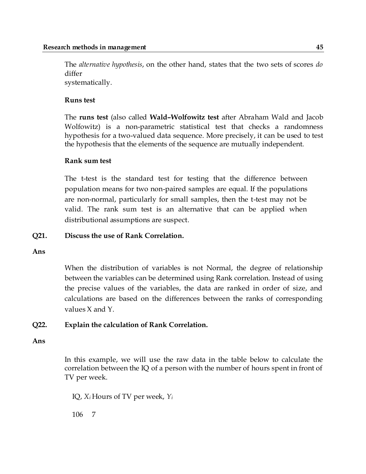The *alternative hypothesis*, on the other hand, states that the two sets of scores *do*  differ systematically.

#### **Runs test**

The **runs test** (also called **Wald–Wolfowitz test** after Abraham Wald and Jacob Wolfowitz) is a non-parametric statistical test that checks a randomness hypothesis for a two-valued data sequence. More precisely, it can be used to test the hypothesis that the elements of the sequence are mutually independent.

#### **Rank sum test**

The t-test is the standard test for testing that the difference between population means for two non-paired samples are equal. If the populations are non-normal, particularly for small samples, then the t-test may not be valid. The rank sum test is an alternative that can be applied when distributional assumptions are suspect.

#### **Q21. Discuss the use of Rank Correlation.**

**Ans**

When the distribution of variables is not Normal, the degree of relationship between the variables can be determined using Rank correlation. Instead of using the precise values of the variables, the data are ranked in order of size, and calculations are based on the differences between the ranks of corresponding values X and Y.

#### **Q22. Explain the calculation of Rank Correlation.**

#### **Ans**

In this example, we will use the raw data in the table below to calculate the correlation between the IQ of a person with the number of hours spent in front of TV per week.

IQ, *X<sup>i</sup>* Hours of TV per week, *Y<sup>i</sup>*

106 7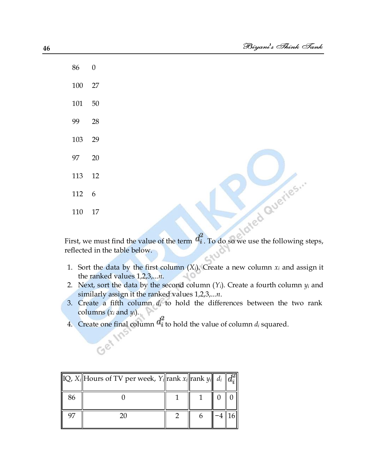algred Queries ...

First, we must find the value of the term  $d_i^2$ . To do so we use the following steps, reflected in the table below.

- 1. Sort the data by the first column  $(X_i)$ . Create a new column  $x_i$  and assign it the ranked values 1,2,3,...*n*.
- 2. Next, sort the data by the second column  $(Y_i)$ . Create a fourth column  $y_i$  and similarly assign it the ranked values 1,2,3,...*n*.
- 3. Create a fifth column *d<sup>i</sup>* to hold the differences between the two rank columns (*x<sup>i</sup>* and *yi*).
- 4. Create one final column  $d_i^2$  to hold the value of column  $d_i$  squared.

|    | IQ, X <sub>i</sub>   Hours of TV per week, Y <sub>i</sub>   rank x <sub>i</sub>   rank y <sub>i</sub>    $d_i$    $d_i^2$ |  |  |
|----|---------------------------------------------------------------------------------------------------------------------------|--|--|
| 86 |                                                                                                                           |  |  |
|    | 20                                                                                                                        |  |  |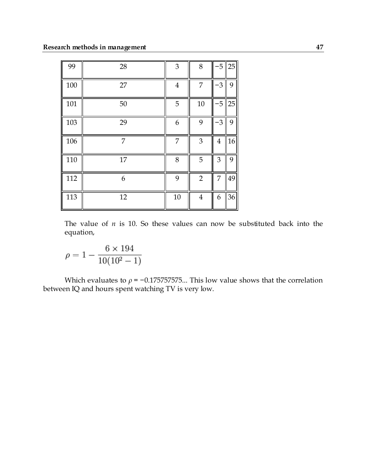| 99  | 28 | $\mathfrak{B}$ | $8\,$          | -5             | 25 |
|-----|----|----------------|----------------|----------------|----|
| 100 | 27 | $\overline{4}$ | 7              | -3             | 9  |
| 101 | 50 | 5              | 10             | -5             | 25 |
| 103 | 29 | 6              | 9              | $-3$           | 9  |
| 106 | 7  | 7              | 3              | $\overline{4}$ | 16 |
| 110 | 17 | $8\,$          | 5              | 3              | 9  |
| 112 | 6  | 9              | $\overline{2}$ | 7              | 49 |
| 113 | 12 | $10\,$         | $\overline{4}$ | 6              | 36 |

The value of  $n$  is 10. So these values can now be substituted back into the equation,

$$
\rho = 1 - \frac{6 \times 194}{10(10^2 - 1)}
$$

Which evaluates to  $\rho$  = −0.175757575... This low value shows that the correlation between IQ and hours spent watching TV is very low.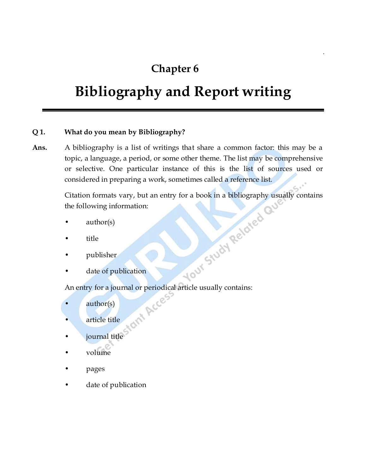## **Chapter 6**

## **Bibliography and Report writing**

#### **Q 1. What do you mean by Bibliography?**

**Ans.** A bibliography is a list of writings that share a common factor: this may be a topic, a language, a period, or some other theme. The list may be comprehensive or selective. One particular instance of this is the list of sources used or considered in preparing a work, sometimes called a reference list.

> Citation formats vary, but an entry for a book in a bibliography usually contains<br>the following information:<br>author(s)<br>title<br>publisher<br>date of publication of the publisher<br>An eric the following information:

- author(s)
- title
- publisher
- date of publication

An entry for a journal or periodical article usually contains:

- author(s)
- article title
- journal title
- volume
- pages
- date of publication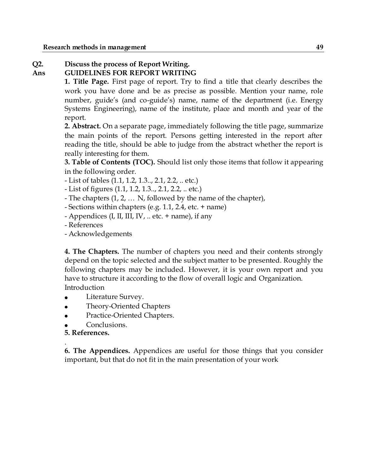#### **Q2. Discuss the process of Report Writing.**

#### **Ans GUIDELINES FOR REPORT WRITING**

**1. Title Page.** First page of report. Try to find a title that clearly describes the work you have done and be as precise as possible. Mention your name, role number, guide's (and co-guide's) name, name of the department (i.e. Energy Systems Engineering), name of the institute, place and month and year of the report.

**2. Abstract.** On a separate page, immediately following the title page, summarize the main points of the report. Persons getting interested in the report after reading the title, should be able to judge from the abstract whether the report is really interesting for them.

**3. Table of Contents (TOC).** Should list only those items that follow it appearing in the following order.

- List of tables (1.1, 1.2, 1.3.., 2.1, 2.2, .. etc.)
- List of figures (1.1, 1.2, 1.3.., 2.1, 2.2, .. etc.)
- The chapters (1, 2, … N, followed by the name of the chapter),
- Sections within chapters (e.g. 1.1, 2.4, etc. + name)
- Appendices (I, II, III, IV, .. etc. + name), if any
- References
- Acknowledgements

**4. The Chapters.** The number of chapters you need and their contents strongly depend on the topic selected and the subject matter to be presented. Roughly the following chapters may be included. However, it is your own report and you have to structure it according to the flow of overall logic and Organization. Introduction

- Literature Survey.
- Theory-Oriented Chapters
- Practice-Oriented Chapters.
- Conclusions.
- **5. References.**

. **6. The Appendices.** Appendices are useful for those things that you consider important, but that do not fit in the main presentation of your work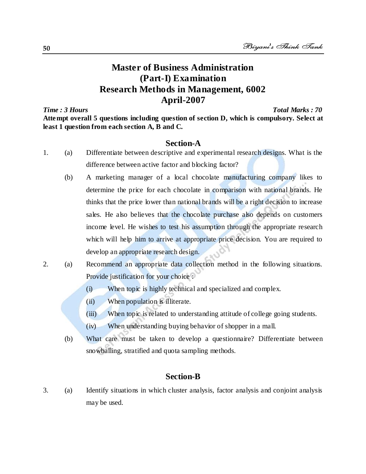#### **Master of Business Administration (Part-I) Examination Research Methods in Management, 6002 April-2007**

*Time : 3 Hours Total Marks : 70* **Attempt overall 5 questions including question of section D, which is compulsory. Select at least 1 question from each section A, B and C.**

#### **Section-A**

- 1. (a) Differentiate between descriptive and experimental research designs. What is the difference between active factor and blocking factor?
	- (b) A marketing manager of a local chocolate manufacturing company likes to determine the price for each chocolate in comparison with national brands. He thinks that the price lower than national brands will be a right decision to increase sales. He also believes that the chocolate purchase also depends on customers income level. He wishes to test his assumption through the appropriate research which will help him to arrive at appropriate price decision. You are required to develop an appropriate research design.
- 2. (a) Recommend an appropriate data collection method in the following situations. Provide justification for your choice :
	- (i) When topic is highly technical and specialized and complex.
	- (ii) When population is illiterate.
	- (iii) When topic is related to understanding attitude of college going students.
	- (iv) When understanding buying behavior of shopper in a mall.
	- (b) What care must be taken to develop a questionnaire? Differentiate between snowballing, stratified and quota sampling methods.

#### **Section-B**

3. (a) Identify situations in which cluster analysis, factor analysis and conjoint analysis may be used.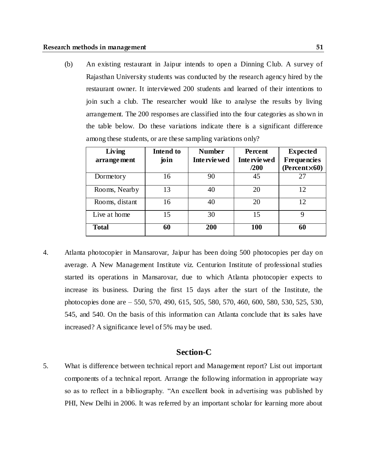(b) An existing restaurant in Jaipur intends to open a Dinning Club. A survey of Rajasthan University students was conducted by the research agency hired by the restaurant owner. It interviewed 200 students and learned of their intentions to join such a club. The researcher would like to analyse the results by living arrangement. The 200 responses are classified into the four categories as shown in the table below. Do these variations indicate there is a significant difference among these students, or are these sampling variations only?

| Living<br>arrange ment | Intend to<br>join | <b>Number</b><br>Inte rvie wed | Percent<br>Inte rvie wed<br>/200 | <b>Expected</b><br><b>Frequencies</b><br>$(Percent \times 60)$ |
|------------------------|-------------------|--------------------------------|----------------------------------|----------------------------------------------------------------|
| Dormetory              | 16                | 90                             | 45                               | 27                                                             |
| Rooms, Nearby          | 13                | 40                             | 20                               | 12                                                             |
| Rooms, distant         | 16                | 40                             | 20                               | 12                                                             |
| Live at home           | 15                | 30                             | 15                               | 9                                                              |
| <b>Total</b>           | 60                | 200                            | <b>100</b>                       | 60                                                             |

4. Atlanta photocopier in Mansarovar, Jaipur has been doing 500 photocopies per day on average. A New Management Institute viz. Centurion Institute of professional studies started its operations in Mansarovar, due to which Atlanta photocopier expects to increase its business. During the first 15 days after the start of the Institute, the photocopies done are – 550, 570, 490, 615, 505, 580, 570, 460, 600, 580, 530, 525, 530, 545, and 540. On the basis of this information can Atlanta conclude that its sales have increased? A significance level of 5% may be used.

#### **Section-C**

5. What is difference between technical report and Management report? List out important components of a technical report. Arrange the following information in appropriate way so as to reflect in a bibliography. "An excellent book in advertising was published by PHI, New Delhi in 2006. It was referred by an important scholar for learning more about